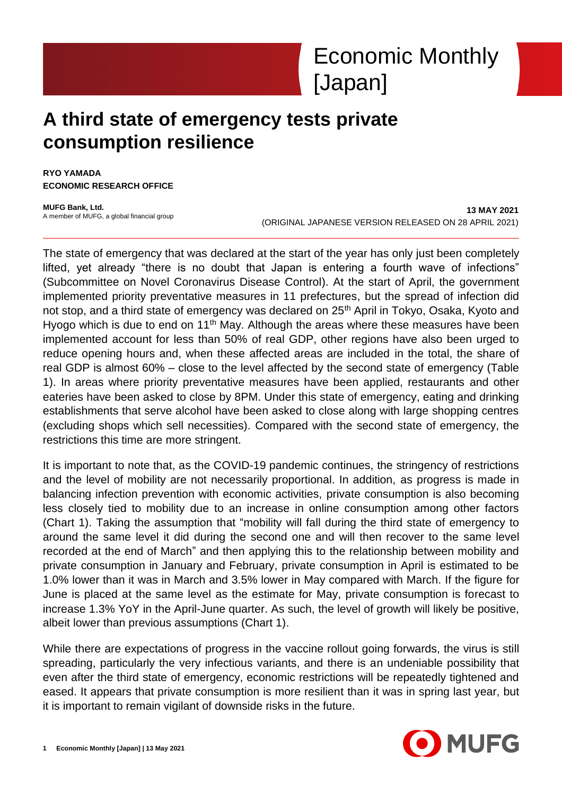# **A third state of emergency tests private consumption resilience**

**RYO YAMADA ECONOMIC RESEARCH OFFICE**

**MUFG Bank, Ltd.** A member of MUFG, a global financial group

**13 MAY 2021** (ORIGINAL JAPANESE VERSION RELEASED ON 28 APRIL 2021)

The state of emergency that was declared at the start of the year has only just been completely lifted, yet already "there is no doubt that Japan is entering a fourth wave of infections" (Subcommittee on Novel Coronavirus Disease Control). At the start of April, the government implemented priority preventative measures in 11 prefectures, but the spread of infection did not stop, and a third state of emergency was declared on 25<sup>th</sup> April in Tokyo, Osaka, Kyoto and Hyogo which is due to end on 11<sup>th</sup> May. Although the areas where these measures have been implemented account for less than 50% of real GDP, other regions have also been urged to reduce opening hours and, when these affected areas are included in the total, the share of real GDP is almost 60% – close to the level affected by the second state of emergency (Table 1). In areas where priority preventative measures have been applied, restaurants and other eateries have been asked to close by 8PM. Under this state of emergency, eating and drinking establishments that serve alcohol have been asked to close along with large shopping centres (excluding shops which sell necessities). Compared with the second state of emergency, the restrictions this time are more stringent.

It is important to note that, as the COVID-19 pandemic continues, the stringency of restrictions and the level of mobility are not necessarily proportional. In addition, as progress is made in balancing infection prevention with economic activities, private consumption is also becoming less closely tied to mobility due to an increase in online consumption among other factors (Chart 1). Taking the assumption that "mobility will fall during the third state of emergency to around the same level it did during the second one and will then recover to the same level recorded at the end of March" and then applying this to the relationship between mobility and private consumption in January and February, private consumption in April is estimated to be 1.0% lower than it was in March and 3.5% lower in May compared with March. If the figure for June is placed at the same level as the estimate for May, private consumption is forecast to increase 1.3% YoY in the April-June quarter. As such, the level of growth will likely be positive, albeit lower than previous assumptions (Chart 1).

While there are expectations of progress in the vaccine rollout going forwards, the virus is still spreading, particularly the very infectious variants, and there is an undeniable possibility that even after the third state of emergency, economic restrictions will be repeatedly tightened and eased. It appears that private consumption is more resilient than it was in spring last year, but it is important to remain vigilant of downside risks in the future.

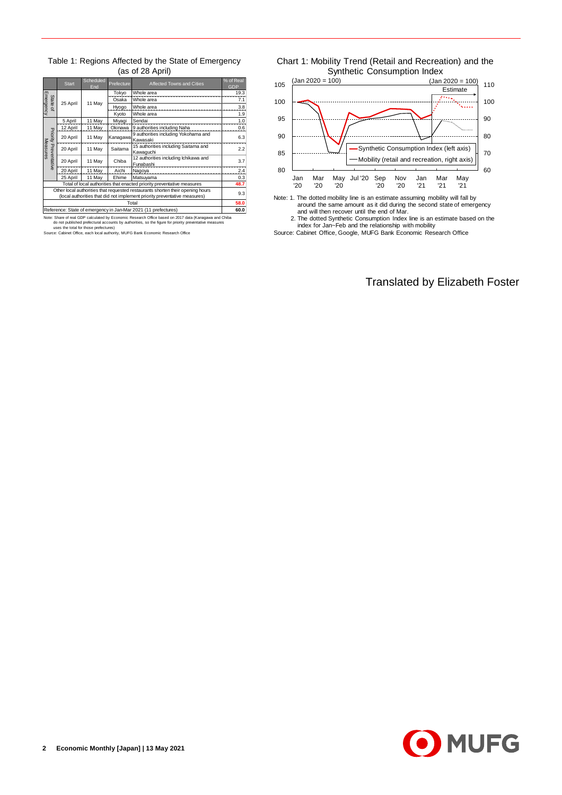Table 1: Regions Affected by the State of Emergency (as of 28 April)

|                                                                                | <b>Start</b>                                                           | Scheduled<br>End             | Prefecture       | Affected Towns and Cities                                                 | % of Real<br><b>GDP</b> |  |  |  |  |
|--------------------------------------------------------------------------------|------------------------------------------------------------------------|------------------------------|------------------|---------------------------------------------------------------------------|-------------------------|--|--|--|--|
|                                                                                |                                                                        |                              | Tokyo            | Whole area                                                                | 19.3                    |  |  |  |  |
| State                                                                          | 25 April                                                               | 11 May                       | Osaka            | Whole area                                                                |                         |  |  |  |  |
| Emergency<br>$\overline{a}$                                                    |                                                                        |                              | Hyogo            | Whole area                                                                | 3.8                     |  |  |  |  |
|                                                                                |                                                                        |                              | Kyoto            | Whole area                                                                | 1.9                     |  |  |  |  |
|                                                                                | 5 April                                                                | 11 May                       | Miyagi           | Sendai                                                                    | 1.0                     |  |  |  |  |
|                                                                                | 12 April                                                               | 11 May                       | Okinawa          | 9 authorities including Naha                                              | 0.6                     |  |  |  |  |
|                                                                                | 20 April                                                               | 11 May                       | Kanagawa         | 9 authorities including Yokohama and                                      | 6.3                     |  |  |  |  |
|                                                                                |                                                                        |                              |                  | Kawasaki                                                                  |                         |  |  |  |  |
| Measures                                                                       | 20 April                                                               | 11 May                       | Saitama<br>Chiba | 15 authorities including Saitama and                                      | 2.2                     |  |  |  |  |
|                                                                                |                                                                        |                              |                  | Kawaguchi                                                                 |                         |  |  |  |  |
| Priority Preventative                                                          | 20 April                                                               | 11 May                       |                  | 12 authorities including Ichikawa and                                     | 3.7                     |  |  |  |  |
|                                                                                |                                                                        |                              |                  | Funabashi                                                                 |                         |  |  |  |  |
|                                                                                | 20 April                                                               | 11 May                       | Aichi            | Nagoya                                                                    | 2.4                     |  |  |  |  |
|                                                                                | 25 April                                                               | 11 May<br>Ehime<br>Matsuyama |                  |                                                                           |                         |  |  |  |  |
|                                                                                | Total of local authorities that enacted priority preventative measures |                              |                  |                                                                           |                         |  |  |  |  |
| Other local authorities that requested restaurants shorten their opening hours |                                                                        |                              |                  |                                                                           |                         |  |  |  |  |
|                                                                                |                                                                        |                              |                  | (local authorities that did not implement priority preventative measures) | 9.3                     |  |  |  |  |
|                                                                                |                                                                        |                              |                  | Total                                                                     | 58.0                    |  |  |  |  |
| Reference: State of emergency in Jan-Mar 2021 (11 prefectures)                 |                                                                        |                              |                  |                                                                           |                         |  |  |  |  |

Reference: State of emergency in Jan-Mar 2021 (11 prefectures)<br>Note: Share of real GDP calculated by Economic Research Office based on 2017 data (Kanagawa and Chiba<br>do not published prefectural accounts by authorities, so





Note: 1. The dotted mobility line is an estimate assuming mobility will fall by around the same amount as it did during the second state of emergency and will then recover until the end of Mar.

2. The dotted Synthetic Consumption Index line is an estimate based on the index for Jan~Feb and the relationship with mobility

Source: Cabinet Office, Google, MUFG Bank Economic Research Office

Translated by Elizabeth Foster

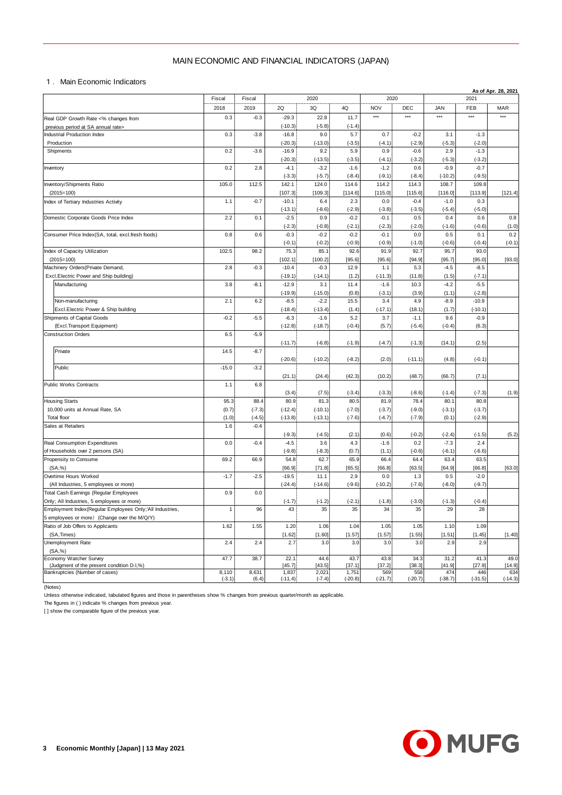## MAIN ECONOMIC AND FINANCIAL INDICATORS (JAPAN)

|                                                                                | MAIN ECONOMIC AND FINANCIAL INDICATORS (JAPAN) |                      |                        |                        |                      |                      |                      |                    |                      |                     |
|--------------------------------------------------------------------------------|------------------------------------------------|----------------------|------------------------|------------------------|----------------------|----------------------|----------------------|--------------------|----------------------|---------------------|
| 1. Main Economic Indicators                                                    |                                                |                      |                        |                        |                      |                      |                      |                    |                      | As of Apr. 28, 2021 |
|                                                                                | Fiscal                                         | Fiscal               |                        | 2020                   |                      | 2020                 |                      |                    | 2021                 |                     |
|                                                                                | 2018                                           | 2019                 | 2Q                     | 3Q                     | 4Q                   | <b>NOV</b>           | DEC                  | <b>JAN</b>         | FEB                  | <b>MAR</b>          |
| Real GDP Growth Rate <% changes from                                           | 0.3                                            | $-0.3$               | $-29.3$                | 22.8                   | 11.7                 | $***$                | $***$                | $***$              | $***$                | $***$               |
| previous period at SA annual rate><br><b>Industrial Production Index</b>       | 0.3                                            | $-3.8$               | $(-10.3)$<br>$-16.8$   | $(-5.8)$<br>9.0        | $(-1.4)$<br>5.7      | 0.7                  | $-0.2$               | 3.1                | $-1.3$               |                     |
| Production                                                                     |                                                |                      | $(-20.3)$              | $(-13.0)$              | $(-3.5)$             | $(-4.1)$             | $(-2.9)$             | $(-5.3)$           | $(-2.0)$             |                     |
| Shipments                                                                      | 0.2                                            | $-3.6$               | $-16.9$                | 9.2                    | 5.9                  | 0.9                  | $-0.6$               | 2.9                | $-1.3$               |                     |
| Inventory                                                                      | 0.2                                            | 2.8                  | $(-20.3)$<br>$-4.1$    | $(-13.5)$<br>$-3.2$    | $(-3.5)$<br>$-1.6$   | $(-4.1)$<br>$-1.2$   | $(-3.2)$<br>0.6      | $(-5.3)$<br>$-0.9$ | $(-3.2)$<br>$-0.7$   |                     |
|                                                                                |                                                |                      | $(-3.3)$               | $(-5.7)$               | $(-8.4)$             | $(-9.1)$             | $(-8.4)$             | $(-10.2)$          | $(-9.5)$             |                     |
| Inventory/Shipments Ratio                                                      | 105.0                                          | 112.5                | 142.1                  | 124.0                  | 114.6                | 114.2                | 114.3                | 108.7              | 109.8                |                     |
| $(2015=100)$                                                                   |                                                |                      | [107.3]                | [109.3]                | [114.6]              | [115.0]              | [115.6]              | [116.0]            | [113.9]              | [121.4]             |
| Index of Tertiary Industries Activity                                          | 1.1                                            | $-0.7$               | $-10.1$<br>$(-13.1)$   | 6.4<br>$(-8.6)$        | 2.3<br>$(-2.9)$      | 0.0<br>$(-3.8)$      | $-0.4$<br>$(-3.5)$   | $-1.0$<br>$(-5.4)$ | 0.3<br>$(-5.0)$      |                     |
| Domestic Corporate Goods Price Index                                           | 2.2                                            | 0.1                  | $-2.5$                 | 0.9                    | $-0.2$               | $-0.1$               | 0.5                  | 0.4                | 0.6                  | 0.8                 |
|                                                                                |                                                |                      | $(-2.3)$               | $(-0.8)$               | $(-2.1)$             | $(-2.3)$             | $(-2.0)$             | $(-1.6)$           | $(-0.6)$             | (1.0)               |
| Consumer Price Index(SA, total, excl.fresh foods)                              | 0.8                                            | 0.6                  | $-0.3$                 | $-0.2$                 | $-0.2$               | $-0.1$               | 0.0                  | 0.5                | 0.1                  | 0.2                 |
| Index of Capacity Utilization                                                  | 102.5                                          | 98.2                 | $(-0.1)$<br>75.3       | $(-0.2)$<br>85.1       | $(-0.9)$<br>92.6     | $(-0.9)$<br>91.9     | $(-1.0)$<br>92.7     | $(-0.6)$<br>95.7   | $(-0.4)$<br>93.0     | $(-0.1)$            |
| $(2015=100)$                                                                   |                                                |                      | [102.1]                | [100.2]                | [95.6]               | [95.6]               | [94.9]               | [95.7]             | [95.0]               | [93.0]              |
| Machinery Orders (Private Demand,                                              | 2.8                                            | $-0.3$               | $-10.4$                | $-0.3$                 | 12.9                 | 1.1                  | 5.3                  | $-4.5$             | $-8.5$               |                     |
| Excl.Electric Power and Ship building)                                         |                                                |                      | $(-19.1)$              | $(-14.1)$              | (1.2)                | $(-11.3)$            | (11.8)               | (1.5)              | $(-7.1)$             |                     |
| Manufacturing                                                                  | 3.8                                            | $-8.1$               | $-12.9$<br>$(-19.9)$   | 3.1<br>$(-15.0)$       | 11.4<br>(0.8)        | $-1.6$<br>$(-3.1)$   | 10.3<br>(3.9)        | $-4.2$<br>(1.1)    | $-5.5$<br>$(-2.8)$   |                     |
| Non-manufacturing                                                              | 2.1                                            | 6.2                  | $-8.5$                 | $-2.2$                 | 15.5                 | 3.4                  | 4.9                  | $-8.9$             | $-10.9$              |                     |
| Excl. Electric Power & Ship building                                           |                                                |                      | $(-18.4)$              | $(-13.4)$              | (1.4)                | $(-17.1)$            | (18.1)               | (1.7)              | $(-10.1)$            |                     |
| Shipments of Capital Goods                                                     | $-0.2$                                         | $-5.5$               | $-6.3$                 | $-1.6$                 | 5.2                  | 3.7                  | $-1.1$               | 9.6                | $-0.9$               |                     |
| (Excl.Transport Equipment)<br><b>Construction Orders</b>                       | 6.5                                            | $-5.9$               | $(-12.8)$              | $(-18.7)$              | $(-0.4)$             | (5.7)                | $(-5.4)$             | $(-0.4)$           | (6.3)                |                     |
|                                                                                |                                                |                      | $(-11.7)$              | $(-6.8)$               | $(-1.9)$             | $(-4.7)$             | $(-1.3)$             | (14.1)             | (2.5)                |                     |
| Private                                                                        | 14.5                                           | $-8.7$               |                        |                        |                      |                      |                      |                    |                      |                     |
|                                                                                |                                                |                      | $(-20.6)$              | $(-10.2)$              | $(-8.2)$             | (2.0)                | $(-11.1)$            | (4.8)              | $(-0.1)$             |                     |
| Public                                                                         | $-15.0$                                        | $-3.2$               | (21.1)                 | (24.4)                 | (42.3)               | (10.2)               | (48.7)               | (66.7)             | (7.1)                |                     |
| Public Works Contracts                                                         | 1.1                                            | 6.8                  |                        |                        |                      |                      |                      |                    |                      |                     |
|                                                                                |                                                |                      | (3.4)                  | (7.5)                  | $(-3.4)$             | $(-3.3)$             | $(-8.6)$             | $(-1.4)$           | $(-7.3)$             | (1.9)               |
| <b>Housing Starts</b><br>10,000 units at Annual Rate, SA                       | 95.3                                           | 88.4                 | 80.9                   | 81.3                   | 80.5                 | 81.9                 | 78.4                 | 80.1               | 80.8                 |                     |
| Total floor                                                                    | (0.7)<br>(1.0)                                 | $(-7.3)$<br>$(-4.5)$ | $(-12.4)$<br>$(-13.8)$ | $(-10.1)$<br>$(-13.1)$ | $(-7.0)$<br>$(-7.6)$ | $(-3.7)$<br>$(-4.7)$ | $(-9.0)$<br>$(-7.9)$ | $(-3.1)$<br>(0.1)  | $(-3.7)$<br>$(-2.9)$ |                     |
| Sales at Retailers                                                             | 1.6                                            | $-0.4$               |                        |                        |                      |                      |                      |                    |                      |                     |
|                                                                                |                                                |                      | $(-9.3)$               | $(-4.5)$               | (2.1)                | (0.6)                | $(-0.2)$             | $(-2.4)$           | $(-1.5)$             | (5.2)               |
| Real Consumption Expenditures                                                  | 0.0                                            | $-0.4$               | $-4.5$<br>$(-9.8)$     | 3.6                    | 4.3<br>(0.7)         | $-1.6$               | 0.2<br>$(-0.6)$      | $-7.3$             | 2.4<br>$(-6.6)$      |                     |
| of Households over 2 persons (SA)<br>Propensity to Consume                     | 69.2                                           | 66.9                 | 54.8                   | $(-8.3)$<br>62.7       | 65.9                 | (1.1)<br>66.4        | 64.4                 | $(-6.1)$<br>63.4   | 63.5                 |                     |
| (SA, %)                                                                        |                                                |                      | [66.9]                 | [71.8]                 | [65.5]               | [66.8]               | [63.5]               | [64.9]             | [66.8]               | [63.0]              |
| Overtime Hours Worked                                                          | $-1.7$                                         | $-2.5$               | $-19.5$                | 11.1                   | 2.9                  | 0.0                  | 1.3                  | 0.5                | $-2.0$               |                     |
| (All Industries, 5 employees or more)<br>Total Cash Eamings (Regular Employees | 0.9                                            | 0.0                  | $(-24.4)$              | $(-14.6)$              | $(-9.6)$             | $(-10.2)$            | $(-7.6)$             | $(-8.0)$           | $(-9.7)$             |                     |
| Only; All Industries, 5 employees or more)                                     |                                                |                      | $(-1.7)$               | $(-1.2)$               | $(-2.1)$             | $(-1.8)$             | $(-3.0)$             | $(-1.3)$           | $(-0.4)$             |                     |
| Employment Index(Regular Employees Only;'All Industries,                       | $\mathbf{1}$                                   | 96                   | 43                     | 35                     | 35                   | 34                   | 35                   | 29                 | 28                   |                     |
| 5 employees or more) (Change over the M/Q/Y)                                   |                                                |                      |                        |                        |                      |                      |                      |                    |                      |                     |
| Ratio of Job Offers to Applicants<br>(SA, Times)                               | 1.62                                           | 1.55                 | 1.20<br>[1.62]         | 1.06<br>[1.60]         | 1.04<br>[1.57]       | 1.05<br>[1.57]       | 1.05<br>[1.55]       | 1.10<br>[1.51]     | 1.09<br>[1.45]       | [1.40]              |
| Unemployment Rate                                                              | 2.4                                            | 2.4                  | 2.7                    | 3.0                    | 3.0                  | 3.0                  | 3.0                  | 2.9                | 2.9                  |                     |
| (SA, %)                                                                        |                                                |                      |                        |                        |                      |                      |                      |                    |                      |                     |
| Economy Watcher Survey<br>(Judgment of the present condition D.I,%)            | 47.7                                           | 38.7                 | 22.1<br>[45.7]         | 44.6<br>[43.5]         | 43.7<br>[37.1]       | 43.8<br>[37.2]       | 34.3<br>[38.3]       | 31.2<br>[41.9]     | 41.3<br>[27.9]       | 49.0<br>[14.9]      |
| Bankruptcies (Number of cases)                                                 | 8,110                                          | 8,631                | 1,837                  | 2,021                  | 1,751                | 569                  | 558                  | 474                | 446                  | 634                 |
|                                                                                | $(-3.1)$                                       | (6.4)                | $(-11.4)$              | $(-7.4)$               | $(-20.8)$            | $(-21.7)$            | $(-20.7)$            | $(-38.7)$          | $(-31.5)$            | $(-14.3)$           |

(Notes)

Unless otherwise indicated, tabulated figures and those in parentheses show % changes from previous quarter/month as applicable.

The figures in ( ) indicate % changes from previous year.

[ ] show the comparable figure of the previous year.